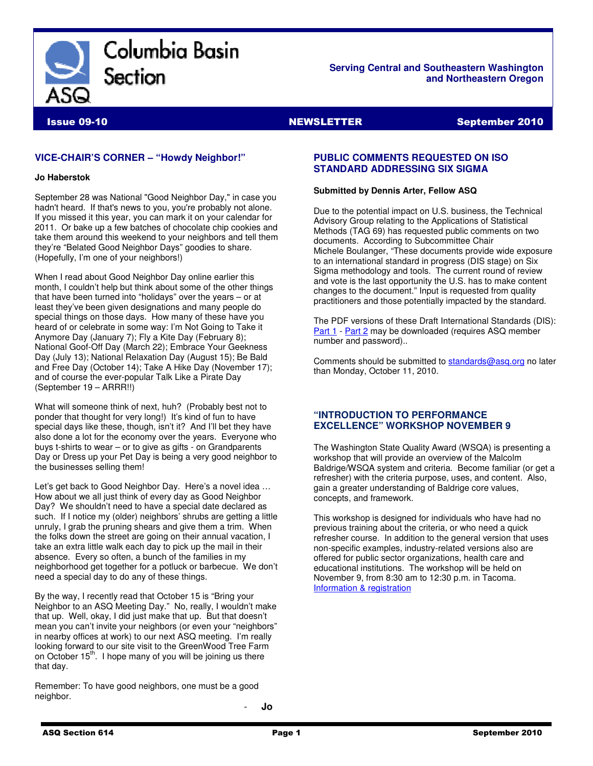

**Serving Central and Southeastern Washington and Northeastern Oregon** 

Issue 09-10 NEWSLETTER September 2010

# **VICE-CHAIR'S CORNER – "Howdy Neighbor!"**

#### **Jo Haberstok**

September 28 was National "Good Neighbor Day," in case you hadn't heard. If that's news to you, you're probably not alone. If you missed it this year, you can mark it on your calendar for 2011. Or bake up a few batches of chocolate chip cookies and take them around this weekend to your neighbors and tell them they're "Belated Good Neighbor Days" goodies to share. (Hopefully, I'm one of your neighbors!)

When I read about Good Neighbor Day online earlier this month, I couldn't help but think about some of the other things that have been turned into "holidays" over the years – or at least they've been given designations and many people do special things on those days. How many of these have you heard of or celebrate in some way: I'm Not Going to Take it Anymore Day (January 7); Fly a Kite Day (February 8); National Goof-Off Day (March 22); Embrace Your Geekness Day (July 13); National Relaxation Day (August 15); Be Bald and Free Day (October 14); Take A Hike Day (November 17); and of course the ever-popular Talk Like a Pirate Day (September 19 – ARRR!!)

What will someone think of next, huh? (Probably best not to ponder that thought for very long!) It's kind of fun to have special days like these, though, isn't it? And I'll bet they have also done a lot for the economy over the years. Everyone who buys t-shirts to wear – or to give as gifts - on Grandparents Day or Dress up your Pet Day is being a very good neighbor to the businesses selling them!

Let's get back to Good Neighbor Day. Here's a novel idea … How about we all just think of every day as Good Neighbor Day? We shouldn't need to have a special date declared as such. If I notice my (older) neighbors' shrubs are getting a little unruly, I grab the pruning shears and give them a trim. When the folks down the street are going on their annual vacation, I take an extra little walk each day to pick up the mail in their absence. Every so often, a bunch of the families in my neighborhood get together for a potluck or barbecue. We don't need a special day to do any of these things.

By the way, I recently read that October 15 is "Bring your Neighbor to an ASQ Meeting Day." No, really, I wouldn't make that up. Well, okay, I did just make that up. But that doesn't mean you can't invite your neighbors (or even your "neighbors" in nearby offices at work) to our next ASQ meeting. I'm really looking forward to our site visit to the GreenWood Tree Farm on October  $15<sup>th</sup>$ . I hope many of you will be joining us there that day.

Remember: To have good neighbors, one must be a good neighbor.

# **PUBLIC COMMENTS REQUESTED ON ISO STANDARD ADDRESSING SIX SIGMA**

#### **Submitted by Dennis Arter, Fellow ASQ**

Due to the potential impact on U.S. business, the Technical Advisory Group relating to the Applications of Statistical Methods (TAG 69) has requested public comments on two documents. According to Subcommittee Chair Michele Boulanger, "These documents provide wide exposure to an international standard in progress (DIS stage) on Six Sigma methodology and tools. The current round of review and vote is the last opportunity the U.S. has to make content changes to the document." Input is requested from quality practitioners and those potentially impacted by the standard.

The PDF versions of these Draft International Standards (DIS): Part 1 - Part 2 may be downloaded (requires ASQ member number and password)..

Comments should be submitted to standards@asq.org no later than Monday, October 11, 2010.

### **"INTRODUCTION TO PERFORMANCE EXCELLENCE" WORKSHOP NOVEMBER 9**

The Washington State Quality Award (WSQA) is presenting a workshop that will provide an overview of the Malcolm Baldrige/WSQA system and criteria. Become familiar (or get a refresher) with the criteria purpose, uses, and content. Also, gain a greater understanding of Baldrige core values, concepts, and framework.

This workshop is designed for individuals who have had no previous training about the criteria, or who need a quick refresher course. In addition to the general version that uses non-specific examples, industry-related versions also are offered for public sector organizations, health care and educational institutions. The workshop will be held on November 9, from 8:30 am to 12:30 p.m. in Tacoma. Information & registration

- **Jo**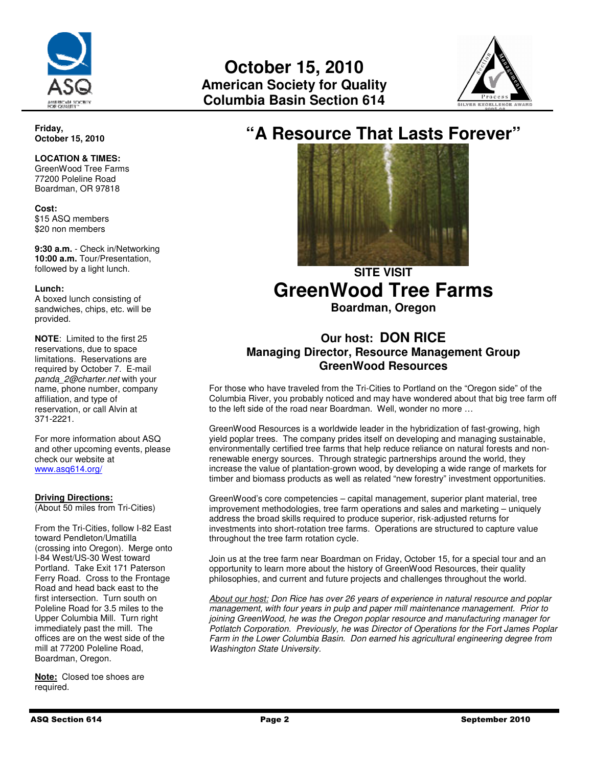



# **"A Resource That Lasts Forever"**



# **SITE VISIT GreenWood Tree Farms**

**Boardman, Oregon** 

# **Our host: DON RICE Managing Director, Resource Management Group GreenWood Resources**

For those who have traveled from the Tri-Cities to Portland on the "Oregon side" of the Columbia River, you probably noticed and may have wondered about that big tree farm off to the left side of the road near Boardman. Well, wonder no more …

GreenWood Resources is a worldwide leader in the hybridization of fast-growing, high yield poplar trees. The company prides itself on developing and managing sustainable, environmentally certified tree farms that help reduce reliance on natural forests and nonrenewable energy sources. Through strategic partnerships around the world, they increase the value of plantation-grown wood, by developing a wide range of markets for timber and biomass products as well as related "new forestry" investment opportunities.

GreenWood's core competencies – capital management, superior plant material, tree improvement methodologies, tree farm operations and sales and marketing – uniquely address the broad skills required to produce superior, risk-adjusted returns for investments into short-rotation tree farms. Operations are structured to capture value throughout the tree farm rotation cycle.

Join us at the tree farm near Boardman on Friday, October 15, for a special tour and an opportunity to learn more about the history of GreenWood Resources, their quality philosophies, and current and future projects and challenges throughout the world.

About our host: Don Rice has over 26 years of experience in natural resource and poplar management, with four years in pulp and paper mill maintenance management. Prior to joining GreenWood, he was the Oregon poplar resource and manufacturing manager for Potlatch Corporation. Previously, he was Director of Operations for the Fort James Poplar Farm in the Lower Columbia Basin. Don earned his agricultural engineering degree from Washington State University.

**Friday, October 15, 2010** 

# **LOCATION & TIMES:**

GreenWood Tree Farms 77200 Poleline Road Boardman, OR 97818

**Cost:**  \$15 ASQ members \$20 non members

**9:30 a.m.** - Check in/Networking **10:00 a.m.** Tour/Presentation, followed by a light lunch.

### **Lunch:**

A boxed lunch consisting of sandwiches, chips, etc. will be provided.

**NOTE**: Limited to the first 25 reservations, due to space limitations. Reservations are required by October 7. E-mail panda 2@charter.net with your name, phone number, company affiliation, and type of reservation, or call Alvin at 371-2221.

For more information about ASQ and other upcoming events, please check our website at www.asq614.org/

# **Driving Directions:**

(About 50 miles from Tri-Cities)

From the Tri-Cities, follow I-82 East toward Pendleton/Umatilla (crossing into Oregon). Merge onto I-84 West/US-30 West toward Portland. Take Exit 171 Paterson Ferry Road. Cross to the Frontage Road and head back east to the first intersection. Turn south on Poleline Road for 3.5 miles to the Upper Columbia Mill. Turn right immediately past the mill. The offices are on the west side of the mill at 77200 Poleline Road, Boardman, Oregon.

**Note:** Closed toe shoes are required.